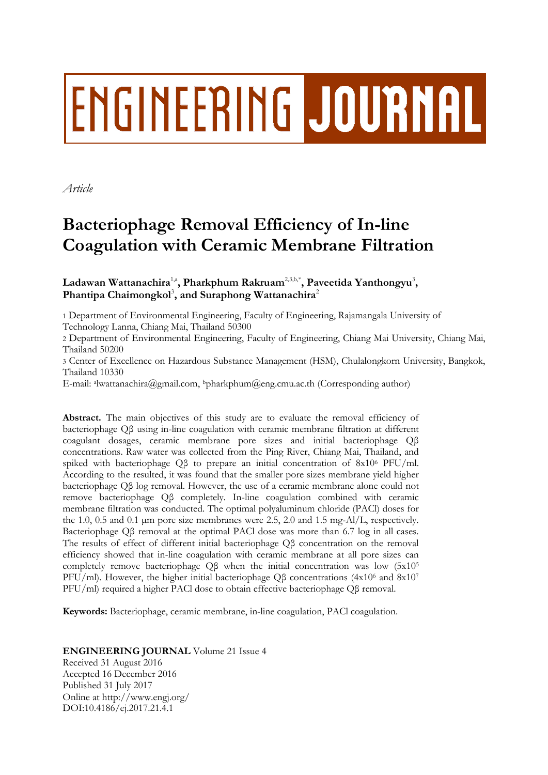# ENGINEERING JOURNAL

*Article*

# **Bacteriophage Removal Efficiency of In-line Coagulation with Ceramic Membrane Filtration**

 $\rm Ladawan~Wattanachira^{1, a}, Pharkphum~Rakruam<sup>2,3,b,*</sup>, Paveetida Yanthongyu<sup>3</sup>,$ Phantipa Chaimongkol<sup>3</sup>, and Suraphong Wattanachira<sup>2</sup>

1 Department of Environmental Engineering, Faculty of Engineering, Rajamangala University of

Technology Lanna, Chiang Mai, Thailand 50300

2 Department of Environmental Engineering, Faculty of Engineering, Chiang Mai University, Chiang Mai, Thailand 50200

3 Center of Excellence on Hazardous Substance Management (HSM), Chulalongkorn University, Bangkok, Thailand 10330

E-mail: <sup>a</sup> lwattanachira@gmail.com, bpharkphum@eng.cmu.ac.th (Corresponding author)

Abstract. The main objectives of this study are to evaluate the removal efficiency of bacteriophage Qβ using in-line coagulation with ceramic membrane filtration at different coagulant dosages, ceramic membrane pore sizes and initial bacteriophage Qβ concentrations. Raw water was collected from the Ping River, Chiang Mai, Thailand, and spiked with bacteriophage Qβ to prepare an initial concentration of 8x10<sup>6</sup> PFU/ml. According to the resulted, it was found that the smaller pore sizes membrane yield higher bacteriophage Qβ log removal. However, the use of a ceramic membrane alone could not remove bacteriophage Qβ completely. In-line coagulation combined with ceramic membrane filtration was conducted. The optimal polyaluminum chloride (PACl) doses for the 1.0, 0.5 and 0.1  $\mu$ m pore size membranes were 2.5, 2.0 and 1.5 mg-Al/L, respectively. Bacteriophage Qβ removal at the optimal PACl dose was more than 6.7 log in all cases. The results of effect of different initial bacteriophage Qβ concentration on the removal efficiency showed that in-line coagulation with ceramic membrane at all pore sizes can completely remove bacteriophage Qβ when the initial concentration was low (5x10<sup>5</sup> PFU/ml). However, the higher initial bacteriophage Qβ concentrations  $(4x10<sup>6</sup>$  and  $8x10<sup>7</sup>$ PFU/ml) required a higher PACl dose to obtain effective bacteriophage Qβ removal.

**Keywords:** Bacteriophage, ceramic membrane, in-line coagulation, PACl coagulation.

# **ENGINEERING JOURNAL** Volume 21 Issue 4

Received 31 August 2016 Accepted 16 December 2016 Published 31 July 2017 Online at http://www.engj.org/ DOI:10.4186/ej.2017.21.4.1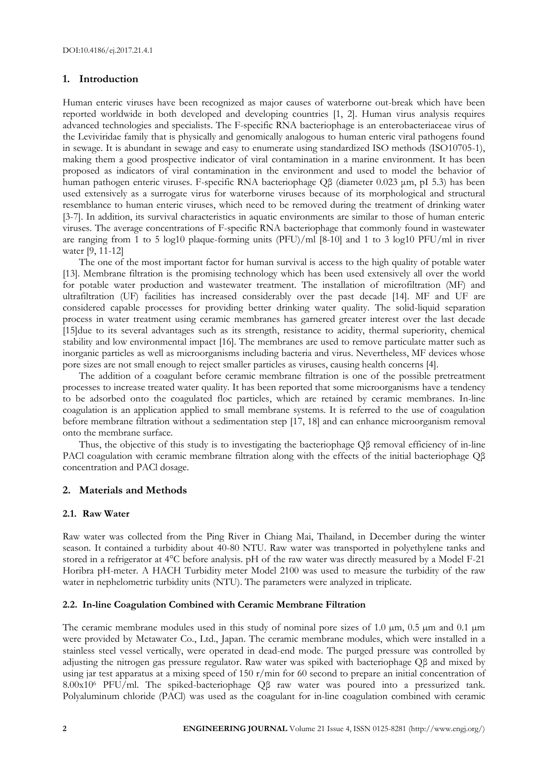# **1. Introduction**

Human enteric viruses have been recognized as major causes of waterborne out-break which have been reported worldwide in both developed and developing countries [1, 2]. Human virus analysis requires advanced technologies and specialists. The F-specific RNA bacteriophage is an enterobacteriaceae virus of the Leviviridae family that is physically and genomically analogous to human enteric viral pathogens found in sewage. It is abundant in sewage and easy to enumerate using standardized ISO methods (ISO10705-1), making them a good prospective indicator of viral contamination in a marine environment. It has been proposed as indicators of viral contamination in the environment and used to model the behavior of human pathogen enteric viruses. F-specific RNA bacteriophage Qβ (diameter 0.023 μm, pI 5.3) has been used extensively as a surrogate virus for waterborne viruses because of its morphological and structural resemblance to human enteric viruses, which need to be removed during the treatment of drinking water [3-7]. In addition, its survival characteristics in aquatic environments are similar to those of human enteric viruses. The average concentrations of F-specific RNA bacteriophage that commonly found in wastewater are ranging from 1 to 5 log10 plaque-forming units (PFU)/ml [8-10] and 1 to 3 log10 PFU/ml in river water [9, 11-12]

The one of the most important factor for human survival is access to the high quality of potable water [13]. Membrane filtration is the promising technology which has been used extensively all over the world for potable water production and wastewater treatment. The installation of microfiltration (MF) and ultrafiltration (UF) facilities has increased considerably over the past decade [14]. MF and UF are considered capable processes for providing better drinking water quality. The solid-liquid separation process in water treatment using ceramic membranes has garnered greater interest over the last decade [15]due to its several advantages such as its strength, resistance to acidity, thermal superiority, chemical stability and low environmental impact [16]. The membranes are used to remove particulate matter such as inorganic particles as well as microorganisms including bacteria and virus. Nevertheless, MF devices whose pore sizes are not small enough to reject smaller particles as viruses, causing health concerns [4].

The addition of a coagulant before ceramic membrane filtration is one of the possible pretreatment processes to increase treated water quality. It has been reported that some microorganisms have a tendency to be adsorbed onto the coagulated floc particles, which are retained by ceramic membranes. In-line coagulation is an application applied to small membrane systems. It is referred to the use of coagulation before membrane filtration without a sedimentation step [17, 18] and can enhance microorganism removal onto the membrane surface.

Thus, the objective of this study is to investigating the bacteriophage Qβ removal efficiency of in-line PACl coagulation with ceramic membrane filtration along with the effects of the initial bacteriophage Qβ concentration and PACl dosage.

# **2. Materials and Methods**

# **2.1. Raw Water**

Raw water was collected from the Ping River in Chiang Mai, Thailand, in December during the winter season. It contained a turbidity about 40-80 NTU. Raw water was transported in polyethylene tanks and stored in a refrigerator at 4°C before analysis. pH of the raw water was directly measured by a Model F-21 Horibra pH-meter. A HACH Turbidity meter Model 2100 was used to measure the turbidity of the raw water in nephelometric turbidity units (NTU). The parameters were analyzed in triplicate.

#### **2.2. In-line Coagulation Combined with Ceramic Membrane Filtration**

The ceramic membrane modules used in this study of nominal pore sizes of 1.0  $\mu$ m, 0.5  $\mu$ m and 0.1  $\mu$ m were provided by Metawater Co., Ltd., Japan. The ceramic membrane modules, which were installed in a stainless steel vessel vertically, were operated in dead-end mode. The purged pressure was controlled by adjusting the nitrogen gas pressure regulator. Raw water was spiked with bacteriophage Qβ and mixed by using jar test apparatus at a mixing speed of 150 r/min for 60 second to prepare an initial concentration of 8.00x10<sup>6</sup> PFU/ml. The spiked-bacteriophage Qβ raw water was poured into a pressurized tank. Polyaluminum chloride (PACl) was used as the coagulant for in-line coagulation combined with ceramic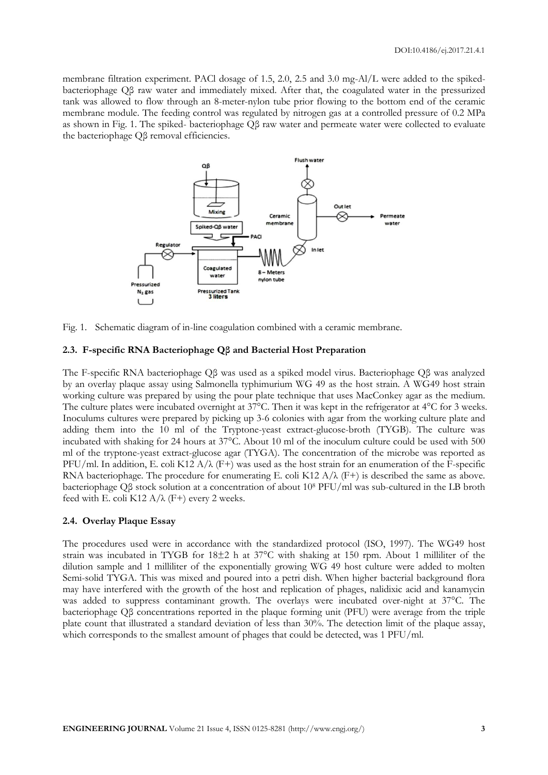membrane filtration experiment. PACl dosage of 1.5, 2.0, 2.5 and 3.0 mg-Al/L were added to the spikedbacteriophage Qβ raw water and immediately mixed. After that, the coagulated water in the pressurized tank was allowed to flow through an 8-meter-nylon tube prior flowing to the bottom end of the ceramic membrane module. The feeding control was regulated by nitrogen gas at a controlled pressure of 0.2 MPa as shown in Fig. 1. The spiked- bacteriophage Qβ raw water and permeate water were collected to evaluate the bacteriophage Qβ removal efficiencies.



Fig. 1. Schematic diagram of in-line coagulation combined with a ceramic membrane.

### **2.3. F-specific RNA Bacteriophage Qβ and Bacterial Host Preparation**

The F-specific RNA bacteriophage Qβ was used as a spiked model virus. Bacteriophage Qβ was analyzed by an overlay plaque assay using Salmonella typhimurium WG 49 as the host strain. A WG49 host strain working culture was prepared by using the pour plate technique that uses MacConkey agar as the medium. The culture plates were incubated overnight at 37°C. Then it was kept in the refrigerator at 4°C for 3 weeks. Inoculums cultures were prepared by picking up 3-6 colonies with agar from the working culture plate and adding them into the 10 ml of the Tryptone-yeast extract-glucose-broth (TYGB). The culture was incubated with shaking for 24 hours at 37°C. About 10 ml of the inoculum culture could be used with 500 ml of the tryptone-yeast extract-glucose agar (TYGA). The concentration of the microbe was reported as PFU/ml. In addition, E. coli K12 A/ $\lambda$  (F+) was used as the host strain for an enumeration of the F-specific RNA bacteriophage. The procedure for enumerating E. coli K12  $A/\lambda$  (F+) is described the same as above. bacteriophage Qβ stock solution at a concentration of about 10<sup>8</sup> PFU/ml was sub-cultured in the LB broth feed with E. coli K12  $A/\lambda$  (F+) every 2 weeks.

#### **2.4. Overlay Plaque Essay**

The procedures used were in accordance with the standardized protocol (ISO, 1997). The WG49 host strain was incubated in TYGB for 18±2 h at 37°C with shaking at 150 rpm. About 1 milliliter of the dilution sample and 1 milliliter of the exponentially growing WG 49 host culture were added to molten Semi-solid TYGA. This was mixed and poured into a petri dish. When higher bacterial background flora may have interfered with the growth of the host and replication of phages, nalidixic acid and kanamycin was added to suppress contaminant growth. The overlays were incubated over-night at 37°C. The bacteriophage Qβ concentrations reported in the plaque forming unit (PFU) were average from the triple plate count that illustrated a standard deviation of less than 30%. The detection limit of the plaque assay, which corresponds to the smallest amount of phages that could be detected, was 1 PFU/ml.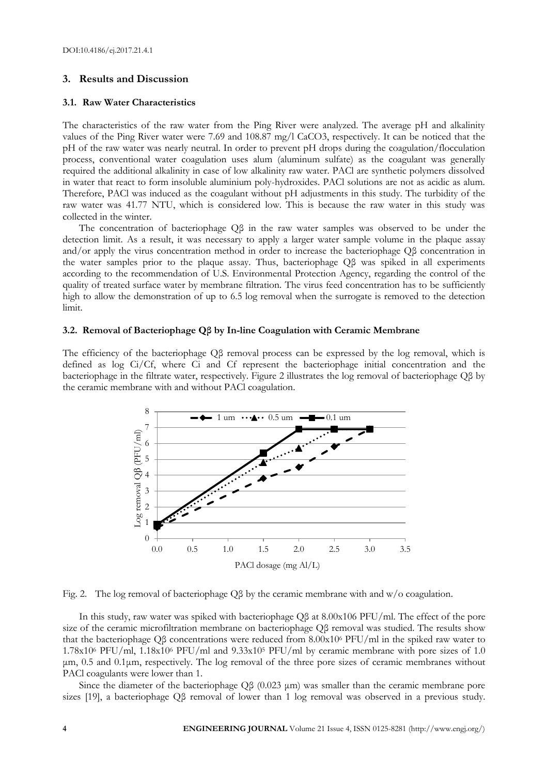#### **3. Results and Discussion**

#### **3.1. Raw Water Characteristics**

The characteristics of the raw water from the Ping River were analyzed. The average pH and alkalinity values of the Ping River water were 7.69 and 108.87 mg/l CaCO3, respectively. It can be noticed that the pH of the raw water was nearly neutral. In order to prevent pH drops during the coagulation/flocculation process, conventional water coagulation uses alum (aluminum sulfate) as the coagulant was generally required the additional alkalinity in case of low alkalinity raw water. PACl are synthetic polymers dissolved in water that react to form insoluble aluminium poly-hydroxides. PACl solutions are not as acidic as alum. Therefore, PACl was induced as the coagulant without pH adjustments in this study. The turbidity of the raw water was 41.77 NTU, which is considered low. This is because the raw water in this study was collected in the winter.

The concentration of bacteriophage Qβ in the raw water samples was observed to be under the detection limit. As a result, it was necessary to apply a larger water sample volume in the plaque assay and/or apply the virus concentration method in order to increase the bacteriophage Qβ concentration in the water samples prior to the plaque assay. Thus, bacteriophage Qβ was spiked in all experiments according to the recommendation of U.S. Environmental Protection Agency, regarding the control of the quality of treated surface water by membrane filtration. The virus feed concentration has to be sufficiently high to allow the demonstration of up to 6.5 log removal when the surrogate is removed to the detection limit.

#### **3.2. Removal of Bacteriophage Qβ by In-line Coagulation with Ceramic Membrane**

The efficiency of the bacteriophage Qβ removal process can be expressed by the log removal, which is defined as log Ci/Cf, where Ci and Cf represent the bacteriophage initial concentration and the bacteriophage in the filtrate water, respectively. Figure 2 illustrates the log removal of bacteriophage Qβ by the ceramic membrane with and without PACl coagulation.



Fig. 2. The log removal of bacteriophage Qβ by the ceramic membrane with and w/o coagulation.

In this study, raw water was spiked with bacteriophage Qβ at 8.00x106 PFU/ml. The effect of the pore size of the ceramic microfiltration membrane on bacteriophage Qβ removal was studied. The results show that the bacteriophage Qβ concentrations were reduced from 8.00x10<sup>6</sup> PFU/ml in the spiked raw water to 1.78x10<sup>6</sup> PFU/ml, 1.18x10<sup>6</sup> PFU/ml and 9.33x10<sup>5</sup> PFU/ml by ceramic membrane with pore sizes of 1.0 μm, 0.5 and 0.1μm, respectively. The log removal of the three pore sizes of ceramic membranes without PACl coagulants were lower than 1.

Since the diameter of the bacteriophage Qβ (0.023 μm) was smaller than the ceramic membrane pore sizes [19], a bacteriophage Qβ removal of lower than 1 log removal was observed in a previous study.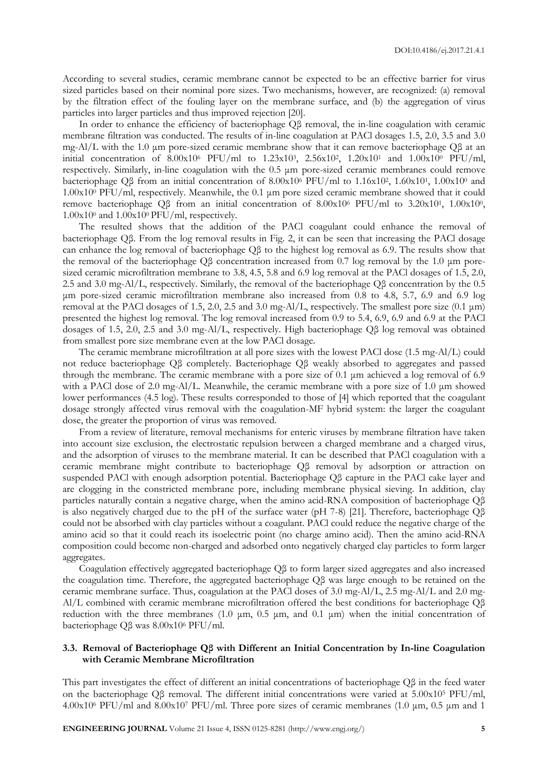According to several studies, ceramic membrane cannot be expected to be an effective barrier for virus sized particles based on their nominal pore sizes. Two mechanisms, however, are recognized: (a) removal by the filtration effect of the fouling layer on the membrane surface, and (b) the aggregation of virus particles into larger particles and thus improved rejection [20].

In order to enhance the efficiency of bacteriophage Qβ removal, the in-line coagulation with ceramic membrane filtration was conducted. The results of in-line coagulation at PACl dosages 1.5, 2.0, 3.5 and 3.0 mg-Al/L with the 1.0 μm pore-sized ceramic membrane show that it can remove bacteriophage Qβ at an initial concentration of 8.00x10<sup>6</sup> PFU/ml to 1.23x10<sup>3</sup>, 2.56x10<sup>2</sup>, 1.20x10<sup>1</sup> and 1.00x10<sup>0</sup> PFU/ml, respectively. Similarly, in-line coagulation with the 0.5 μm pore-sized ceramic membranes could remove bacteriophage Qβ from an initial concentration of 8.00x10<sup>6</sup> PFU/ml to 1.16x10<sup>2</sup>, 1.60x10<sup>1</sup>, 1.00x10<sup>0</sup> and 1.00x10<sup>0</sup> PFU/ml, respectively. Meanwhile, the 0.1 μm pore sized ceramic membrane showed that it could remove bacteriophage Qβ from an initial concentration of 8.00x10<sup>6</sup> PFU/ml to 3.20x10<sup>1</sup>, 1.00x10<sup>0</sup>, 1.00x10<sup>0</sup> and 1.00x10<sup>0</sup> PFU/ml, respectively.

The resulted shows that the addition of the PACl coagulant could enhance the removal of bacteriophage Qβ. From the log removal results in Fig. 2, it can be seen that increasing the PACl dosage can enhance the log removal of bacteriophage Qβ to the highest log removal as 6.9. The results show that the removal of the bacteriophage Qβ concentration increased from 0.7 log removal by the 1.0 μm poresized ceramic microfiltration membrane to 3.8, 4.5, 5.8 and 6.9 log removal at the PACl dosages of 1.5, 2.0, 2.5 and 3.0 mg-Al/L, respectively. Similarly, the removal of the bacteriophage Qβ concentration by the 0.5 μm pore-sized ceramic microfiltration membrane also increased from 0.8 to 4.8, 5.7, 6.9 and 6.9 log removal at the PACl dosages of 1.5, 2.0, 2.5 and 3.0 mg-Al/L, respectively. The smallest pore size (0.1 μm) presented the highest log removal. The log removal increased from 0.9 to 5.4, 6.9, 6.9 and 6.9 at the PACl dosages of 1.5, 2.0, 2.5 and 3.0 mg-Al/L, respectively. High bacteriophage Qβ log removal was obtained from smallest pore size membrane even at the low PACl dosage.

The ceramic membrane microfiltration at all pore sizes with the lowest PACl dose (1.5 mg-Al/L) could not reduce bacteriophage Qβ completely. Bacteriophage Qβ weakly absorbed to aggregates and passed through the membrane. The ceramic membrane with a pore size of 0.1 μm achieved a log removal of 6.9 with a PACl dose of 2.0 mg-Al/L. Meanwhile, the ceramic membrane with a pore size of 1.0 μm showed lower performances (4.5 log). These results corresponded to those of [4] which reported that the coagulant dosage strongly affected virus removal with the coagulation-MF hybrid system: the larger the coagulant dose, the greater the proportion of virus was removed.

From a review of literature, removal mechanisms for enteric viruses by membrane filtration have taken into account size exclusion, the electrostatic repulsion between a charged membrane and a charged virus, and the adsorption of viruses to the membrane material. It can be described that PACl coagulation with a ceramic membrane might contribute to bacteriophage Qβ removal by adsorption or attraction on suspended PACl with enough adsorption potential. Bacteriophage Qβ capture in the PACl cake layer and are clogging in the constricted membrane pore, including membrane physical sieving. In addition, clay particles naturally contain a negative charge, when the amino acid-RNA composition of bacteriophage Qβ is also negatively charged due to the pH of the surface water (pH 7-8) [21]. Therefore, bacteriophage Qβ could not be absorbed with clay particles without a coagulant. PACl could reduce the negative charge of the amino acid so that it could reach its isoelectric point (no charge amino acid). Then the amino acid-RNA composition could become non-charged and adsorbed onto negatively charged clay particles to form larger aggregates.

Coagulation effectively aggregated bacteriophage Qβ to form larger sized aggregates and also increased the coagulation time. Therefore, the aggregated bacteriophage Qβ was large enough to be retained on the ceramic membrane surface. Thus, coagulation at the PACl doses of 3.0 mg-Al/L, 2.5 mg-Al/L and 2.0 mg-Al/L combined with ceramic membrane microfiltration offered the best conditions for bacteriophage Qβ reduction with the three membranes (1.0 μm, 0.5 μm, and 0.1 μm) when the initial concentration of bacteriophage Qβ was 8.00x10<sup>6</sup> PFU/ml.

# **3.3. Removal of Bacteriophage Qβ with Different an Initial Concentration by In-line Coagulation with Ceramic Membrane Microfiltration**

This part investigates the effect of different an initial concentrations of bacteriophage Qβ in the feed water on the bacteriophage Q $\beta$  removal. The different initial concentrations were varied at 5.00x10<sup>5</sup> PFU/ml, 4.00x10<sup>6</sup> PFU/ml and 8.00x10<sup>7</sup> PFU/ml. Three pore sizes of ceramic membranes (1.0 μm, 0.5 μm and 1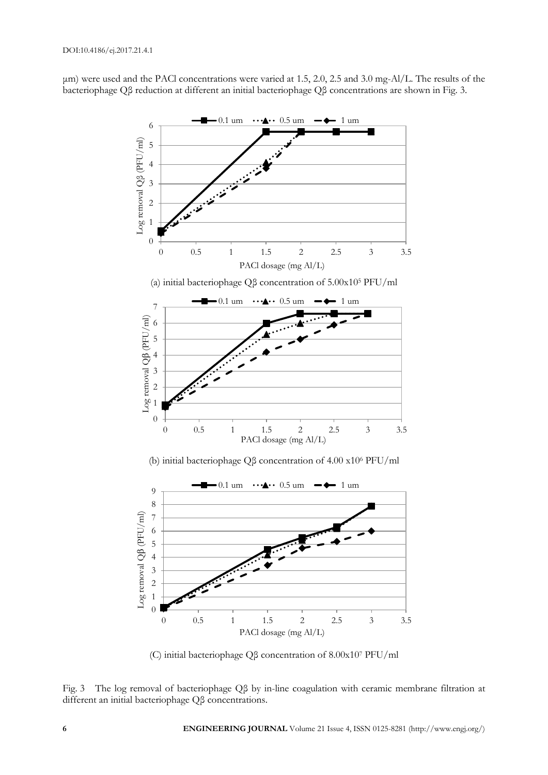μm) were used and the PACl concentrations were varied at 1.5, 2.0, 2.5 and 3.0 mg-Al/L. The results of the bacteriophage Qβ reduction at different an initial bacteriophage Qβ concentrations are shown in Fig. 3.



(C) initial bacteriophage Qβ concentration of 8.00x10<sup>7</sup> PFU/ml

Fig. 3 The log removal of bacteriophage Qβ by in-line coagulation with ceramic membrane filtration at different an initial bacteriophage Qβ concentrations.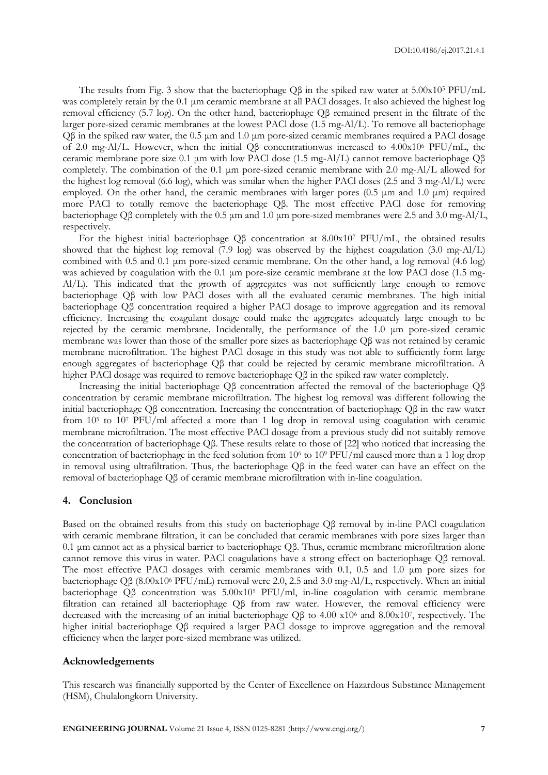The results from Fig. 3 show that the bacteriophage  $\overline{Q\beta}$  in the spiked raw water at 5.00x10<sup>5</sup> PFU/mL was completely retain by the 0.1 μm ceramic membrane at all PACl dosages. It also achieved the highest log removal efficiency (5.7 log). On the other hand, bacteriophage Qβ remained present in the filtrate of the larger pore-sized ceramic membranes at the lowest PACl dose (1.5 mg-Al/L). To remove all bacteriophage Qβ in the spiked raw water, the 0.5 μm and 1.0 μm pore-sized ceramic membranes required a PACl dosage of 2.0 mg-Al/L. However, when the initial Qβ concentrationwas increased to 4.00x10<sup>6</sup> PFU/mL, the ceramic membrane pore size 0.1 μm with low PACl dose (1.5 mg-Al/L) cannot remove bacteriophage Qβ completely. The combination of the 0.1 μm pore-sized ceramic membrane with 2.0 mg-Al/L allowed for the highest log removal (6.6 log), which was similar when the higher PACl doses (2.5 and 3 mg-Al/L) were employed. On the other hand, the ceramic membranes with larger pores (0.5 μm and 1.0 μm) required more PACl to totally remove the bacteriophage Qβ. The most effective PACl dose for removing bacteriophage Qβ completely with the 0.5 μm and 1.0 μm pore-sized membranes were 2.5 and 3.0 mg-Al/L, respectively.

For the highest initial bacteriophage Qβ concentration at 8.00x10<sup>7</sup> PFU/mL, the obtained results showed that the highest log removal (7.9 log) was observed by the highest coagulation (3.0 mg-Al/L) combined with 0.5 and 0.1 μm pore-sized ceramic membrane. On the other hand, a log removal (4.6 log) was achieved by coagulation with the 0.1 μm pore-size ceramic membrane at the low PACl dose (1.5 mg-Al/L). This indicated that the growth of aggregates was not sufficiently large enough to remove bacteriophage Qβ with low PACl doses with all the evaluated ceramic membranes. The high initial bacteriophage Qβ concentration required a higher PACl dosage to improve aggregation and its removal efficiency. Increasing the coagulant dosage could make the aggregates adequately large enough to be rejected by the ceramic membrane. Incidentally, the performance of the 1.0 μm pore-sized ceramic membrane was lower than those of the smaller pore sizes as bacteriophage Qβ was not retained by ceramic membrane microfiltration. The highest PACl dosage in this study was not able to sufficiently form large enough aggregates of bacteriophage Qβ that could be rejected by ceramic membrane microfiltration. A higher PACl dosage was required to remove bacteriophage Qβ in the spiked raw water completely.

Increasing the initial bacteriophage Qβ concentration affected the removal of the bacteriophage Qβ concentration by ceramic membrane microfiltration. The highest log removal was different following the initial bacteriophage Qβ concentration. Increasing the concentration of bacteriophage Qβ in the raw water from 10<sup>5</sup> to 10<sup>7</sup> PFU/ml affected a more than 1 log drop in removal using coagulation with ceramic membrane microfiltration. The most effective PACl dosage from a previous study did not suitably remove the concentration of bacteriophage Qβ. These results relate to those of [22] who noticed that increasing the concentration of bacteriophage in the feed solution from 10<sup>6</sup> to 10<sup>9</sup> PFU/ml caused more than a 1 log drop in removal using ultrafiltration. Thus, the bacteriophage Qβ in the feed water can have an effect on the removal of bacteriophage Qβ of ceramic membrane microfiltration with in-line coagulation.

#### **4. Conclusion**

Based on the obtained results from this study on bacteriophage Qβ removal by in-line PACl coagulation with ceramic membrane filtration, it can be concluded that ceramic membranes with pore sizes larger than 0.1 μm cannot act as a physical barrier to bacteriophage Qβ. Thus, ceramic membrane microfiltration alone cannot remove this virus in water. PACl coagulations have a strong effect on bacteriophage Qβ removal. The most effective PACl dosages with ceramic membranes with 0.1, 0.5 and 1.0 μm pore sizes for bacteriophage Qβ (8.00x10<sup>6</sup> PFU/mL) removal were 2.0, 2.5 and 3.0 mg-Al/L, respectively. When an initial bacteriophage Qβ concentration was 5.00x10<sup>5</sup> PFU/ml, in-line coagulation with ceramic membrane filtration can retained all bacteriophage Qβ from raw water. However, the removal efficiency were decreased with the increasing of an initial bacteriophage Qβ to 4.00 x10<sup>6</sup> and 8.00x10<sup>7</sup> , respectively. The higher initial bacteriophage Qβ required a larger PACl dosage to improve aggregation and the removal efficiency when the larger pore-sized membrane was utilized.

#### **Acknowledgements**

This research was financially supported by the Center of Excellence on Hazardous Substance Management (HSM), Chulalongkorn University.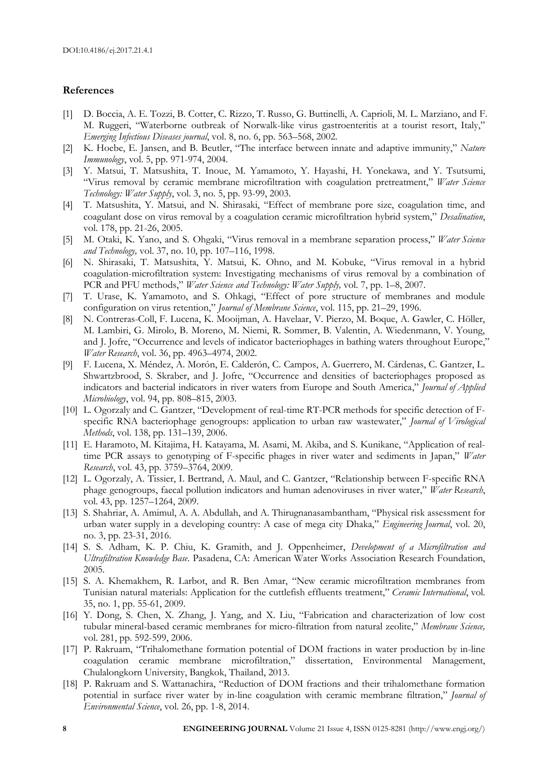## **References**

- [1] D. Boccia, A. E. Tozzi, B. Cotter, C. Rizzo, T. Russo, G. Buttinelli, A. Caprioli, M. L. Marziano, and F. M. Ruggeri, "Waterborne outbreak of Norwalk-like virus gastroenteritis at a tourist resort, Italy," *Emerging Infectious Diseases journal*, vol. 8, no. 6, pp. 563–568, 2002.
- [2] K. Hoebe, E. Jansen, and B. Beutler, "The interface between innate and adaptive immunity," *Nature Immunology*, vol. 5, pp. 971-974, 2004.
- [3] Y. Matsui, T. Matsushita, T. Inoue, M. Yamamoto, Y. Hayashi, H. Yonekawa, and Y. Tsutsumi, "Virus removal by ceramic membrane microfiltration with coagulation pretreatment," *Water Science Technology: Water Supply*, vol. 3, no. 5, pp. 93-99, 2003.
- [4] T. Matsushita, Y. Matsui, and N. Shirasaki, "Effect of membrane pore size, coagulation time, and coagulant dose on virus removal by a coagulation ceramic microfiltration hybrid system," *Desalination*, vol. 178, pp. 21-26, 2005.
- [5] M. Otaki, K. Yano, and S. Ohgaki, "Virus removal in a membrane separation process," *Water Science and Technology,* vol. 37, no. 10, pp. 107–116, 1998.
- [6] N. Shirasaki, T. Matsushita, Y. Matsui, K. Ohno, and M. Kobuke, "Virus removal in a hybrid coagulation-microfiltration system: Investigating mechanisms of virus removal by a combination of PCR and PFU methods," *Water Science and Technology: Water Supply,* vol. 7, pp. 1–8, 2007.
- [7] T. Urase, K. Yamamoto, and S. Ohkagi, "Effect of pore structure of membranes and module configuration on virus retention," *Journal of Membrane Science*, vol. 115, pp. 21–29, 1996.
- [8] N. Contreras-Coll, F. Lucena, K. Mooijman, A. Havelaar, V. Pierzo, M. Boque, A. Gawler, C. Höller, M. Lambiri, G. Mirolo, B. Moreno, M. Niemi, R. Sommer, B. Valentin, A. Wiedenmann, V. Young, and J. Jofre, "Occurrence and levels of indicator bacteriophages in bathing waters throughout Europe," *Water Research*, vol. 36, pp. 4963–4974, 2002.
- [9] F. Lucena, X. Méndez, A. Morón, E. Calderón, C. Campos, A. Guerrero, M. Cárdenas, C. Gantzer, L. Shwartzbrood, S. Skraber, and J. Jofre, "Occurrence and densities of bacteriophages proposed as indicators and bacterial indicators in river waters from Europe and South America," *Journal of Applied Microbiology*, vol. 94, pp. 808–815, 2003.
- [10] L. Ogorzaly and C. Gantzer, "Development of real-time RT-PCR methods for specific detection of Fspecific RNA bacteriophage genogroups: application to urban raw wastewater," *Journal of Virological Methods*, vol. 138, pp. 131–139, 2006.
- [11] E. Haramoto, M. Kitajima, H. Katayama, M. Asami, M. Akiba, and S. Kunikane, "Application of realtime PCR assays to genotyping of F-specific phages in river water and sediments in Japan," *Water Research*, vol. 43, pp. 3759–3764, 2009.
- [12] L. Ogorzaly, A. Tissier, I. Bertrand, A. Maul, and C. Gantzer, "Relationship between F-specific RNA phage genogroups, faecal pollution indicators and human adenoviruses in river water," *Water Research*, vol. 43, pp. 1257–1264, 2009.
- [13] S. Shahriar, A. Amimul, A. A. Abdullah, and A. Thirugnanasambantham, "Physical risk assessment for urban water supply in a developing country: A case of mega city Dhaka," *Engineering Journal*, vol. 20, no. 3, pp. 23-31, 2016.
- [14] S. S. Adham, K. P. Chiu, K. Gramith, and J. Oppenheimer, *Development of a Microfiltration and Ultrafiltration Knowledge Base*. Pasadena, CA: American Water Works Association Research Foundation, 2005.
- [15] S. A. Khemakhem, R. Larbot, and R. Ben Amar, "New ceramic microfiltration membranes from Tunisian natural materials: Application for the cuttlefish effluents treatment," *Ceramic International*, vol. 35, no. 1, pp. 55-61, 2009.
- [16] Y. Dong, S. Chen, X. Zhang, J. Yang, and X. Liu, "Fabrication and characterization of low cost tubular mineral-based ceramic membranes for micro-filtration from natural zeolite," *Membrane Science,* vol. 281, pp. 592-599, 2006.
- [17] P. Rakruam, "Trihalomethane formation potential of DOM fractions in water production by in-line coagulation ceramic membrane microfiltration," dissertation, Environmental Management, Chulalongkorn University, Bangkok, Thailand, 2013.
- [18] P. Rakruam and S. Wattanachira, "Reduction of DOM fractions and their trihalomethane formation potential in surface river water by in-line coagulation with ceramic membrane filtration," *Journal of Environmental Science*, vol. 26, pp. 1-8, 2014.